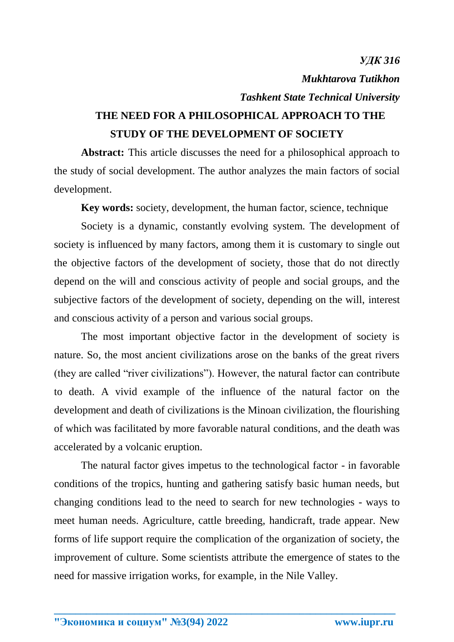*УДК 316 Mukhtarova Tutikhon Tashkent State Technical University* **THE NEED FOR A PHILOSOPHICAL APPROACH TO THE** 

## **STUDY OF THE DEVELOPMENT OF SOCIETY**

**Abstract:** This article discusses the need for a philosophical approach to the study of social development. The author analyzes the main factors of social development.

**Key words:** society, development, the human factor, science, technique

Society is a dynamic, constantly evolving system. The development of society is influenced by many factors, among them it is customary to single out the objective factors of the development of society, those that do not directly depend on the will and conscious activity of people and social groups, and the subjective factors of the development of society, depending on the will, interest and conscious activity of a person and various social groups.

The most important objective factor in the development of society is nature. So, the most ancient civilizations arose on the banks of the great rivers (they are called "river civilizations"). However, the natural factor can contribute to death. A vivid example of the influence of the natural factor on the development and death of civilizations is the Minoan civilization, the flourishing of which was facilitated by more favorable natural conditions, and the death was accelerated by a volcanic eruption.

The natural factor gives impetus to the technological factor - in favorable conditions of the tropics, hunting and gathering satisfy basic human needs, but changing conditions lead to the need to search for new technologies - ways to meet human needs. Agriculture, cattle breeding, handicraft, trade appear. New forms of life support require the complication of the organization of society, the improvement of culture. Some scientists attribute the emergence of states to the need for massive irrigation works, for example, in the Nile Valley.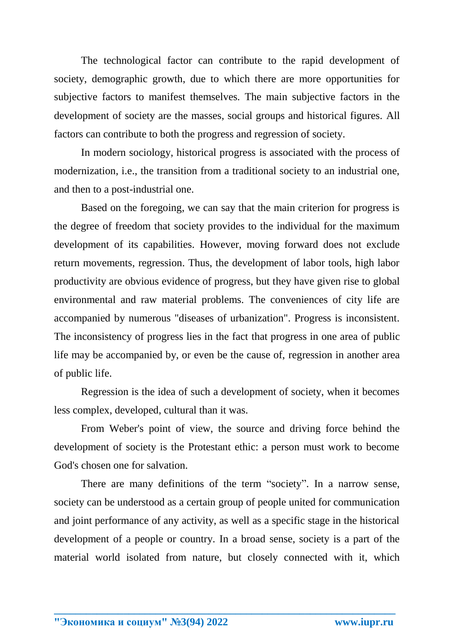The technological factor can contribute to the rapid development of society, demographic growth, due to which there are more opportunities for subjective factors to manifest themselves. The main subjective factors in the development of society are the masses, social groups and historical figures. All factors can contribute to both the progress and regression of society.

In modern sociology, historical progress is associated with the process of modernization, i.e., the transition from a traditional society to an industrial one, and then to a post-industrial one.

Based on the foregoing, we can say that the main criterion for progress is the degree of freedom that society provides to the individual for the maximum development of its capabilities. However, moving forward does not exclude return movements, regression. Thus, the development of labor tools, high labor productivity are obvious evidence of progress, but they have given rise to global environmental and raw material problems. The conveniences of city life are accompanied by numerous "diseases of urbanization". Progress is inconsistent. The inconsistency of progress lies in the fact that progress in one area of public life may be accompanied by, or even be the cause of, regression in another area of public life.

Regression is the idea of such a development of society, when it becomes less complex, developed, cultural than it was.

From Weber's point of view, the source and driving force behind the development of society is the Protestant ethic: a person must work to become God's chosen one for salvation.

There are many definitions of the term "society". In a narrow sense, society can be understood as a certain group of people united for communication and joint performance of any activity, as well as a specific stage in the historical development of a people or country. In a broad sense, society is a part of the material world isolated from nature, but closely connected with it, which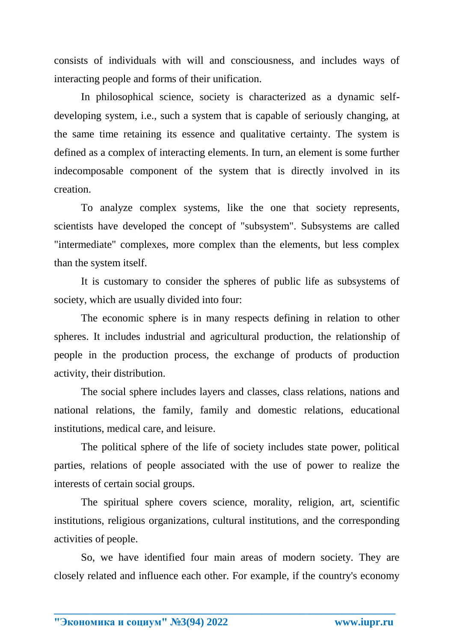consists of individuals with will and consciousness, and includes ways of interacting people and forms of their unification.

In philosophical science, society is characterized as a dynamic selfdeveloping system, i.e., such a system that is capable of seriously changing, at the same time retaining its essence and qualitative certainty. The system is defined as a complex of interacting elements. In turn, an element is some further indecomposable component of the system that is directly involved in its creation.

To analyze complex systems, like the one that society represents, scientists have developed the concept of "subsystem". Subsystems are called "intermediate" complexes, more complex than the elements, but less complex than the system itself.

It is customary to consider the spheres of public life as subsystems of society, which are usually divided into four:

The economic sphere is in many respects defining in relation to other spheres. It includes industrial and agricultural production, the relationship of people in the production process, the exchange of products of production activity, their distribution.

The social sphere includes layers and classes, class relations, nations and national relations, the family, family and domestic relations, educational institutions, medical care, and leisure.

The political sphere of the life of society includes state power, political parties, relations of people associated with the use of power to realize the interests of certain social groups.

The spiritual sphere covers science, morality, religion, art, scientific institutions, religious organizations, cultural institutions, and the corresponding activities of people.

So, we have identified four main areas of modern society. They are closely related and influence each other. For example, if the country's economy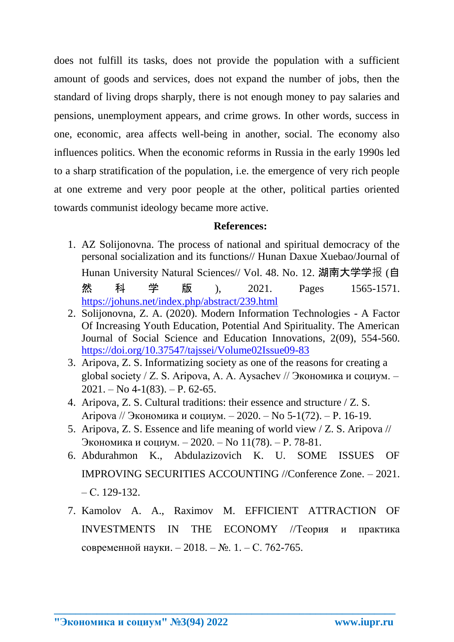does not fulfill its tasks, does not provide the population with a sufficient amount of goods and services, does not expand the number of jobs, then the standard of living drops sharply, there is not enough money to pay salaries and pensions, unemployment appears, and crime grows. In other words, success in one, economic, area affects well-being in another, social. The economy also influences politics. When the economic reforms in Russia in the early 1990s led to a sharp stratification of the population, i.e. the emergence of very rich people at one extreme and very poor people at the other, political parties oriented towards communist ideology became more active.

## **References:**

- 1. AZ Solijonovna. The process of national and spiritual democracy of the personal socialization and its functions// Hunan Daxue Xuebao/Journal of Hunan University Natural Sciences// Vol. 48. No. 12. 湖南大学学报 (自 然 科 学 版 ), 2021. Pages 1565-1571. <https://johuns.net/index.php/abstract/239.html>
- 2. Solijonovna, Z. A. (2020). Modern Information Technologies A Factor Of Increasing Youth Education, Potential And Spirituality. The American Journal of Social Science and Education Innovations, 2(09), 554-560. <https://doi.org/10.37547/tajssei/Volume02Issue09-83>
- 3. Aripova, Z. S. Informatizing society as one of the reasons for creating a global society / Z. S. Aripova, A. A. Aysachev // Экономика и социум. –  $2021. - No 4-1(83)$ .  $- P. 62-65$ .
- 4. Aripova, Z. S. Cultural traditions: their essence and structure / Z. S. Aripova // Экономика и социум. – 2020. – No 5-1(72). – P. 16-19.
- 5. Aripova, Z. S. Essence and life meaning of world view / Z. S. Aripova // Экономика и социум. – 2020. – No 11(78). – P. 78-81.
- 6. Abdurahmon K., Abdulazizovich K. U. SOME ISSUES OF IMPROVING SECURITIES ACCOUNTING //Conference Zone. – 2021.  $- C_{1} 129 - 132.$
- 7. Kamolov A. A., Raximov M. EFFICIENT ATTRACTION OF INVESTMENTS IN THE ECONOMY //Теория и практика современной науки. – 2018. – №. 1. – С. 762-765.